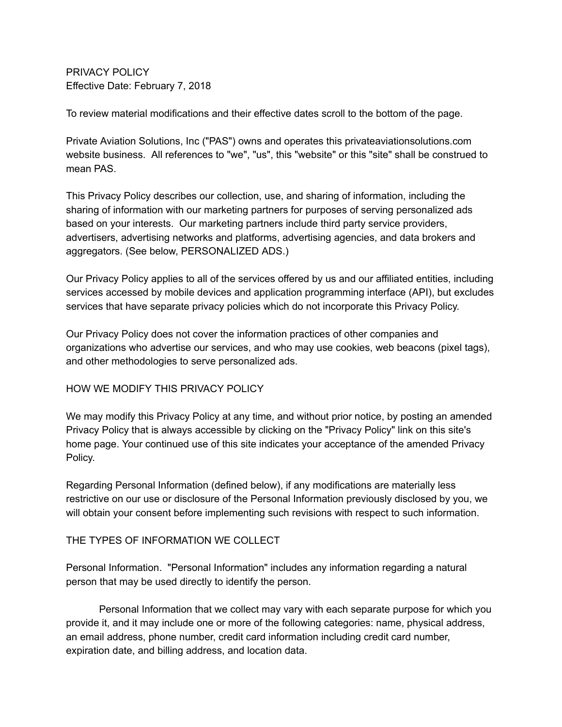PRIVACY POLICY Effective Date: February 7, 2018

To review material modifications and their effective dates scroll to the bottom of the page.

Private Aviation Solutions, Inc ("PAS") owns and operates this privateaviationsolutions.com website business. All references to "we", "us", this "website" or this "site" shall be construed to mean PAS.

This Privacy Policy describes our collection, use, and sharing of information, including the sharing of information with our marketing partners for purposes of serving personalized ads based on your interests. Our marketing partners include third party service providers, advertisers, advertising networks and platforms, advertising agencies, and data brokers and aggregators. (See below, PERSONALIZED ADS.)

Our Privacy Policy applies to all of the services offered by us and our affiliated entities, including services accessed by mobile devices and application programming interface (API), but excludes services that have separate privacy policies which do not incorporate this Privacy Policy.

Our Privacy Policy does not cover the information practices of other companies and organizations who advertise our services, and who may use cookies, web beacons (pixel tags), and other methodologies to serve personalized ads.

### HOW WE MODIFY THIS PRIVACY POLICY

We may modify this Privacy Policy at any time, and without prior notice, by posting an amended Privacy Policy that is always accessible by clicking on the "Privacy Policy" link on this site's home page. Your continued use of this site indicates your acceptance of the amended Privacy Policy.

Regarding Personal Information (defined below), if any modifications are materially less restrictive on our use or disclosure of the Personal Information previously disclosed by you, we will obtain your consent before implementing such revisions with respect to such information.

### THE TYPES OF INFORMATION WE COLLECT

Personal Information. "Personal Information" includes any information regarding a natural person that may be used directly to identify the person.

Personal Information that we collect may vary with each separate purpose for which you provide it, and it may include one or more of the following categories: name, physical address, an email address, phone number, credit card information including credit card number, expiration date, and billing address, and location data.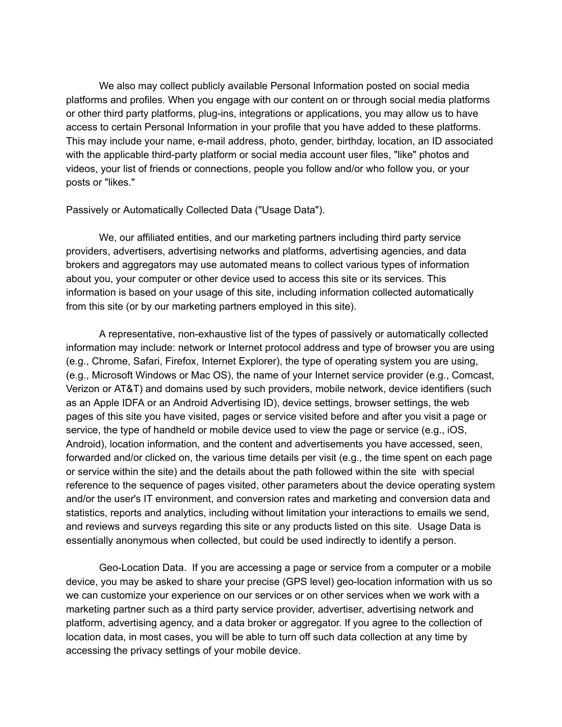We also may collect publicly available Personal Information posted on social media platforms and profiles. When you engage with our content on or through social media platforms or other third party platforms, plug-ins, integrations or applications, you may allow us to have access to certain Personal Information in your profile that you have added to these platforms. This may include your name, e-mail address, photo, gender, birthday, location, an ID associated with the applicable third-party platform or social media account user files, "like" photos and videos, your list of friends or connections, people you follow and/or who follow you, or your posts or "likes."

#### Passively or Automatically Collected Data ("Usage Data").

We, our affiliated entities, and our marketing partners including third party service providers, advertisers, advertising networks and platforms, advertising agencies, and data brokers and aggregators may use automated means to collect various types of information about you, your computer or other device used to access this site or its services. This information is based on your usage of this site, including information collected automatically from this site (or by our marketing partners employed in this site).

A representative, non-exhaustive list of the types of passively or automatically collected information may include: network or Internet protocol address and type of browser you are using (e.g., Chrome, Safari, Firefox, Internet Explorer), the type of operating system you are using, (e.g., Microsoft Windows or Mac OS), the name of your Internet service provider (e.g., Comcast, Verizon or AT&T) and domains used by such providers, mobile network, device identifiers (such as an Apple IDFA or an Android Advertising ID), device settings, browser settings, the web pages of this site you have visited, pages or service visited before and after you visit a page or service, the type of handheld or mobile device used to view the page or service (e.g., iOS, Android), location information, and the content and advertisements you have accessed, seen, forwarded and/or clicked on, the various time details per visit (e.g., the time spent on each page or service within the site) and the details about the path followed within the site with special reference to the sequence of pages visited, other parameters about the device operating system and/or the user's IT environment, and conversion rates and marketing and conversion data and statistics, reports and analytics, including without limitation your interactions to emails we send, and reviews and surveys regarding this site or any products listed on this site. Usage Data is essentially anonymous when collected, but could be used indirectly to identify a person.

Geo-Location Data. If you are accessing a page or service from a computer or a mobile device, you may be asked to share your precise (GPS level) geo-location information with us so we can customize your experience on our services or on other services when we work with a marketing partner such as a third party service provider, advertiser, advertising network and platform, advertising agency, and a data broker or aggregator. If you agree to the collection of location data, in most cases, you will be able to turn off such data collection at any time by accessing the privacy settings of your mobile device.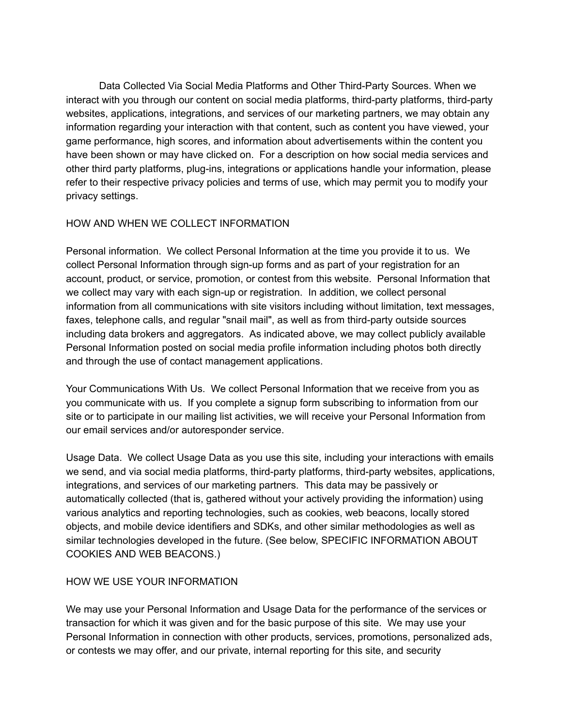Data Collected Via Social Media Platforms and Other Third-Party Sources. When we interact with you through our content on social media platforms, third-party platforms, third-party websites, applications, integrations, and services of our marketing partners, we may obtain any information regarding your interaction with that content, such as content you have viewed, your game performance, high scores, and information about advertisements within the content you have been shown or may have clicked on. For a description on how social media services and other third party platforms, plug-ins, integrations or applications handle your information, please refer to their respective privacy policies and terms of use, which may permit you to modify your privacy settings.

### HOW AND WHEN WE COLLECT INFORMATION

Personal information. We collect Personal Information at the time you provide it to us. We collect Personal Information through sign-up forms and as part of your registration for an account, product, or service, promotion, or contest from this website. Personal Information that we collect may vary with each sign-up or registration. In addition, we collect personal information from all communications with site visitors including without limitation, text messages, faxes, telephone calls, and regular "snail mail", as well as from third-party outside sources including data brokers and aggregators. As indicated above, we may collect publicly available Personal Information posted on social media profile information including photos both directly and through the use of contact management applications.

Your Communications With Us. We collect Personal Information that we receive from you as you communicate with us. If you complete a signup form subscribing to information from our site or to participate in our mailing list activities, we will receive your Personal Information from our email services and/or autoresponder service.

Usage Data. We collect Usage Data as you use this site, including your interactions with emails we send, and via social media platforms, third-party platforms, third-party websites, applications, integrations, and services of our marketing partners. This data may be passively or automatically collected (that is, gathered without your actively providing the information) using various analytics and reporting technologies, such as cookies, web beacons, locally stored objects, and mobile device identifiers and SDKs, and other similar methodologies as well as similar technologies developed in the future. (See below, SPECIFIC INFORMATION ABOUT COOKIES AND WEB BEACONS.)

### HOW WE USE YOUR INFORMATION

We may use your Personal Information and Usage Data for the performance of the services or transaction for which it was given and for the basic purpose of this site. We may use your Personal Information in connection with other products, services, promotions, personalized ads, or contests we may offer, and our private, internal reporting for this site, and security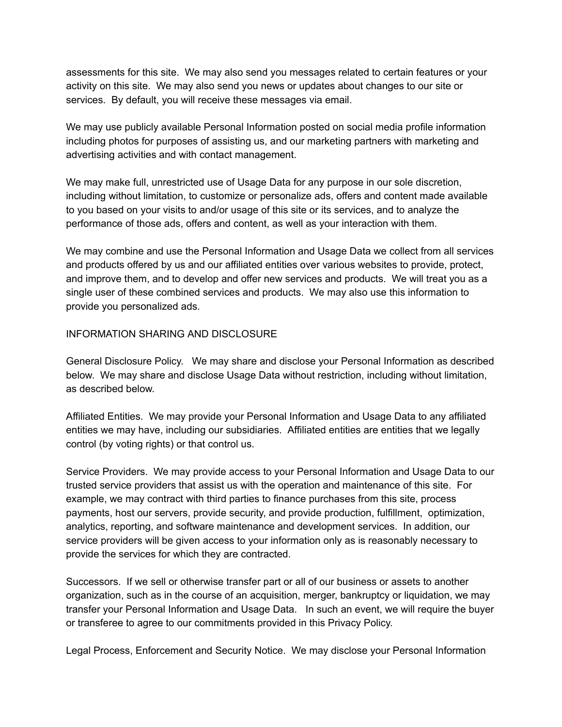assessments for this site. We may also send you messages related to certain features or your activity on this site. We may also send you news or updates about changes to our site or services. By default, you will receive these messages via email.

We may use publicly available Personal Information posted on social media profile information including photos for purposes of assisting us, and our marketing partners with marketing and advertising activities and with contact management.

We may make full, unrestricted use of Usage Data for any purpose in our sole discretion, including without limitation, to customize or personalize ads, offers and content made available to you based on your visits to and/or usage of this site or its services, and to analyze the performance of those ads, offers and content, as well as your interaction with them.

We may combine and use the Personal Information and Usage Data we collect from all services and products offered by us and our affiliated entities over various websites to provide, protect, and improve them, and to develop and offer new services and products. We will treat you as a single user of these combined services and products. We may also use this information to provide you personalized ads.

### INFORMATION SHARING AND DISCLOSURE

General Disclosure Policy. We may share and disclose your Personal Information as described below. We may share and disclose Usage Data without restriction, including without limitation, as described below.

Affiliated Entities. We may provide your Personal Information and Usage Data to any affiliated entities we may have, including our subsidiaries. Affiliated entities are entities that we legally control (by voting rights) or that control us.

Service Providers. We may provide access to your Personal Information and Usage Data to our trusted service providers that assist us with the operation and maintenance of this site. For example, we may contract with third parties to finance purchases from this site, process payments, host our servers, provide security, and provide production, fulfillment, optimization, analytics, reporting, and software maintenance and development services. In addition, our service providers will be given access to your information only as is reasonably necessary to provide the services for which they are contracted.

Successors. If we sell or otherwise transfer part or all of our business or assets to another organization, such as in the course of an acquisition, merger, bankruptcy or liquidation, we may transfer your Personal Information and Usage Data. In such an event, we will require the buyer or transferee to agree to our commitments provided in this Privacy Policy.

Legal Process, Enforcement and Security Notice. We may disclose your Personal Information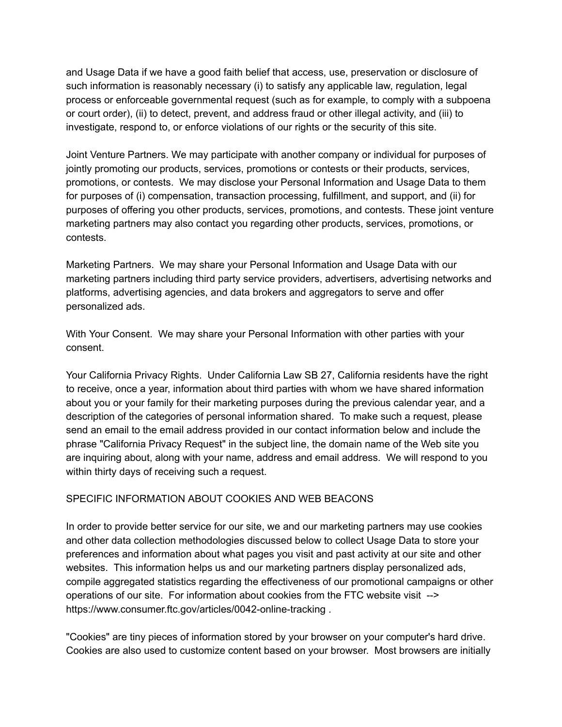and Usage Data if we have a good faith belief that access, use, preservation or disclosure of such information is reasonably necessary (i) to satisfy any applicable law, regulation, legal process or enforceable governmental request (such as for example, to comply with a subpoena or court order), (ii) to detect, prevent, and address fraud or other illegal activity, and (iii) to investigate, respond to, or enforce violations of our rights or the security of this site.

Joint Venture Partners. We may participate with another company or individual for purposes of jointly promoting our products, services, promotions or contests or their products, services, promotions, or contests. We may disclose your Personal Information and Usage Data to them for purposes of (i) compensation, transaction processing, fulfillment, and support, and (ii) for purposes of offering you other products, services, promotions, and contests. These joint venture marketing partners may also contact you regarding other products, services, promotions, or contests.

Marketing Partners. We may share your Personal Information and Usage Data with our marketing partners including third party service providers, advertisers, advertising networks and platforms, advertising agencies, and data brokers and aggregators to serve and offer personalized ads.

With Your Consent. We may share your Personal Information with other parties with your consent.

Your California Privacy Rights. Under California Law SB 27, California residents have the right to receive, once a year, information about third parties with whom we have shared information about you or your family for their marketing purposes during the previous calendar year, and a description of the categories of personal information shared. To make such a request, please send an email to the email address provided in our contact information below and include the phrase "California Privacy Request" in the subject line, the domain name of the Web site you are inquiring about, along with your name, address and email address. We will respond to you within thirty days of receiving such a request.

### SPECIFIC INFORMATION ABOUT COOKIES AND WEB BEACONS

In order to provide better service for our site, we and our marketing partners may use cookies and other data collection methodologies discussed below to collect Usage Data to store your preferences and information about what pages you visit and past activity at our site and other websites. This information helps us and our marketing partners display personalized ads, compile aggregated statistics regarding the effectiveness of our promotional campaigns or other operations of our site. For information about cookies from the FTC website visit --> https://www.consumer.ftc.gov/articles/0042-online-tracking .

"Cookies" are tiny pieces of information stored by your browser on your computer's hard drive. Cookies are also used to customize content based on your browser. Most browsers are initially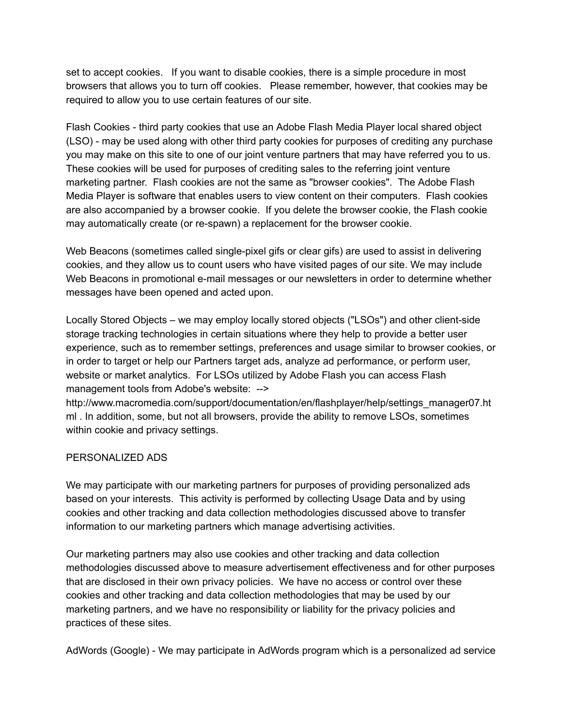set to accept cookies. If you want to disable cookies, there is a simple procedure in most browsers that allows you to turn off cookies. Please remember, however, that cookies may be required to allow you to use certain features of our site.

Flash Cookies - third party cookies that use an Adobe Flash Media Player local shared object (LSO) - may be used along with other third party cookies for purposes of crediting any purchase you may make on this site to one of our joint venture partners that may have referred you to us. These cookies will be used for purposes of crediting sales to the referring joint venture marketing partner. Flash cookies are not the same as "browser cookies". The Adobe Flash Media Player is software that enables users to view content on their computers. Flash cookies are also accompanied by a browser cookie. If you delete the browser cookie, the Flash cookie may automatically create (or re-spawn) a replacement for the browser cookie.

Web Beacons (sometimes called single-pixel gifs or clear gifs) are used to assist in delivering cookies, and they allow us to count users who have visited pages of our site. We may include Web Beacons in promotional e-mail messages or our newsletters in order to determine whether messages have been opened and acted upon.

Locally Stored Objects – we may employ locally stored objects ("LSOs") and other client-side storage tracking technologies in certain situations where they help to provide a better user experience, such as to remember settings, preferences and usage similar to browser cookies, or in order to target or help our Partners target ads, analyze ad performance, or perform user, website or market analytics. For LSOs utilized by Adobe Flash you can access Flash management tools from Adobe's website: -->

http://www.macromedia.com/support/documentation/en/flashplayer/help/settings\_manager07.ht ml . In addition, some, but not all browsers, provide the ability to remove LSOs, sometimes within cookie and privacy settings.

### PERSONALIZED ADS

We may participate with our marketing partners for purposes of providing personalized ads based on your interests. This activity is performed by collecting Usage Data and by using cookies and other tracking and data collection methodologies discussed above to transfer information to our marketing partners which manage advertising activities.

Our marketing partners may also use cookies and other tracking and data collection methodologies discussed above to measure advertisement effectiveness and for other purposes that are disclosed in their own privacy policies. We have no access or control over these cookies and other tracking and data collection methodologies that may be used by our marketing partners, and we have no responsibility or liability for the privacy policies and practices of these sites.

AdWords (Google) - We may participate in AdWords program which is a personalized ad service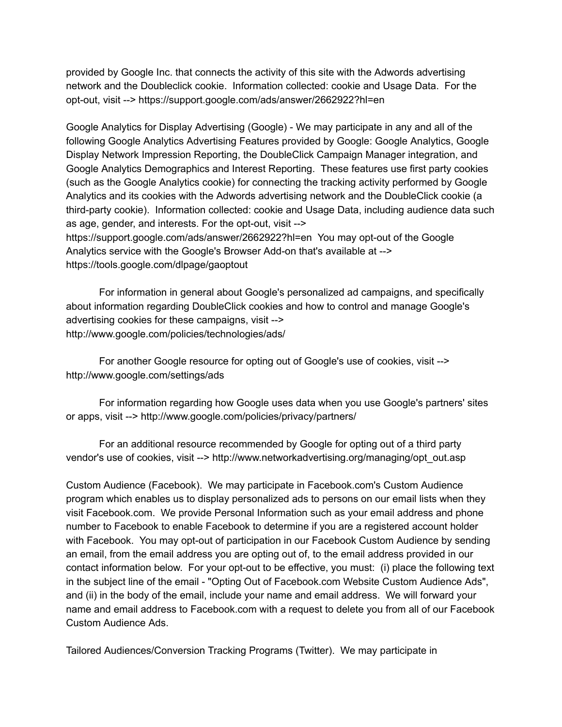provided by Google Inc. that connects the activity of this site with the Adwords advertising network and the Doubleclick cookie. Information collected: cookie and Usage Data. For the opt-out, visit --> https://support.google.com/ads/answer/2662922?hl=en

Google Analytics for Display Advertising (Google) - We may participate in any and all of the following Google Analytics Advertising Features provided by Google: Google Analytics, Google Display Network Impression Reporting, the DoubleClick Campaign Manager integration, and Google Analytics Demographics and Interest Reporting. These features use first party cookies (such as the Google Analytics cookie) for connecting the tracking activity performed by Google Analytics and its cookies with the Adwords advertising network and the DoubleClick cookie (a third-party cookie). Information collected: cookie and Usage Data, including audience data such as age, gender, and interests. For the opt-out, visit --> https://support.google.com/ads/answer/2662922?hl=en You may opt-out of the Google Analytics service with the Google's Browser Add-on that's available at -->

https://tools.google.com/dlpage/gaoptout

For information in general about Google's personalized ad campaigns, and specifically about information regarding DoubleClick cookies and how to control and manage Google's advertising cookies for these campaigns, visit --> http://www.google.com/policies/technologies/ads/

For another Google resource for opting out of Google's use of cookies, visit --> http://www.google.com/settings/ads

For information regarding how Google uses data when you use Google's partners' sites or apps, visit --> http://www.google.com/policies/privacy/partners/

For an additional resource recommended by Google for opting out of a third party vendor's use of cookies, visit --> http://www.networkadvertising.org/managing/opt\_out.asp

Custom Audience (Facebook). We may participate in Facebook.com's Custom Audience program which enables us to display personalized ads to persons on our email lists when they visit Facebook.com. We provide Personal Information such as your email address and phone number to Facebook to enable Facebook to determine if you are a registered account holder with Facebook. You may opt-out of participation in our Facebook Custom Audience by sending an email, from the email address you are opting out of, to the email address provided in our contact information below. For your opt-out to be effective, you must: (i) place the following text in the subject line of the email - "Opting Out of Facebook.com Website Custom Audience Ads", and (ii) in the body of the email, include your name and email address. We will forward your name and email address to Facebook.com with a request to delete you from all of our Facebook Custom Audience Ads.

Tailored Audiences/Conversion Tracking Programs (Twitter). We may participate in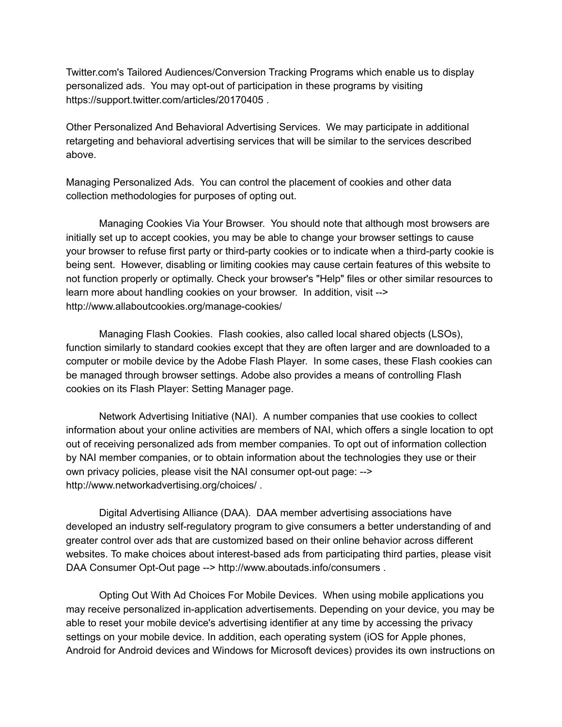Twitter.com's Tailored Audiences/Conversion Tracking Programs which enable us to display personalized ads. You may opt-out of participation in these programs by visiting https://support.twitter.com/articles/20170405 .

Other Personalized And Behavioral Advertising Services. We may participate in additional retargeting and behavioral advertising services that will be similar to the services described above.

Managing Personalized Ads. You can control the placement of cookies and other data collection methodologies for purposes of opting out.

Managing Cookies Via Your Browser. You should note that although most browsers are initially set up to accept cookies, you may be able to change your browser settings to cause your browser to refuse first party or third-party cookies or to indicate when a third-party cookie is being sent. However, disabling or limiting cookies may cause certain features of this website to not function properly or optimally. Check your browser's "Help" files or other similar resources to learn more about handling cookies on your browser. In addition, visit --> http://www.allaboutcookies.org/manage-cookies/

Managing Flash Cookies. Flash cookies, also called local shared objects (LSOs), function similarly to standard cookies except that they are often larger and are downloaded to a computer or mobile device by the Adobe Flash Player. In some cases, these Flash cookies can be managed through browser settings. Adobe also provides a means of controlling Flash cookies on its Flash Player: Setting Manager page.

Network Advertising Initiative (NAI). A number companies that use cookies to collect information about your online activities are members of NAI, which offers a single location to opt out of receiving personalized ads from member companies. To opt out of information collection by NAI member companies, or to obtain information about the technologies they use or their own privacy policies, please visit the NAI consumer opt-out page: --> http://www.networkadvertising.org/choices/ .

Digital Advertising Alliance (DAA). DAA member advertising associations have developed an industry self-regulatory program to give consumers a better understanding of and greater control over ads that are customized based on their online behavior across different websites. To make choices about interest-based ads from participating third parties, please visit DAA Consumer Opt-Out page --> http://www.aboutads.info/consumers .

Opting Out With Ad Choices For Mobile Devices. When using mobile applications you may receive personalized in-application advertisements. Depending on your device, you may be able to reset your mobile device's advertising identifier at any time by accessing the privacy settings on your mobile device. In addition, each operating system (iOS for Apple phones, Android for Android devices and Windows for Microsoft devices) provides its own instructions on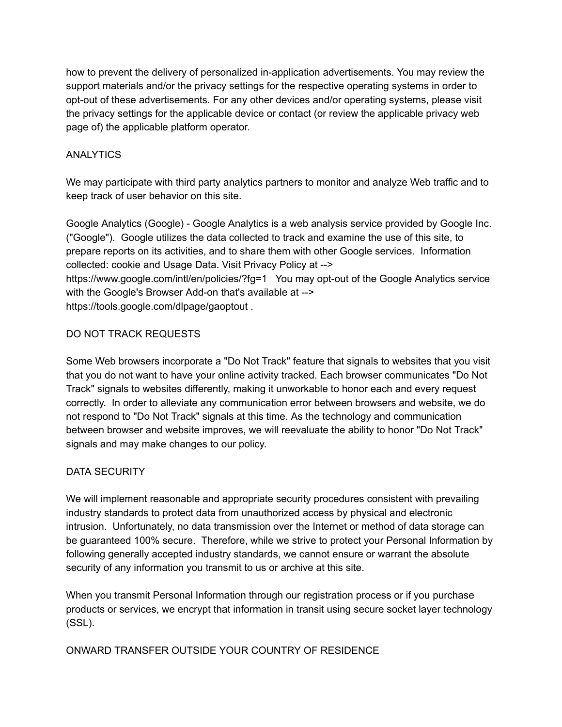how to prevent the delivery of personalized in-application advertisements. You may review the support materials and/or the privacy settings for the respective operating systems in order to opt-out of these advertisements. For any other devices and/or operating systems, please visit the privacy settings for the applicable device or contact (or review the applicable privacy web page of) the applicable platform operator.

# ANALYTICS

We may participate with third party analytics partners to monitor and analyze Web traffic and to keep track of user behavior on this site.

Google Analytics (Google) - Google Analytics is a web analysis service provided by Google Inc. ("Google"). Google utilizes the data collected to track and examine the use of this site, to prepare reports on its activities, and to share them with other Google services. Information collected: cookie and Usage Data. Visit Privacy Policy at --> https://www.google.com/intl/en/policies/?fg=1 You may opt-out of the Google Analytics service with the Google's Browser Add-on that's available at --> https://tools.google.com/dlpage/gaoptout .

# DO NOT TRACK REQUESTS

Some Web browsers incorporate a "Do Not Track" feature that signals to websites that you visit that you do not want to have your online activity tracked. Each browser communicates "Do Not Track" signals to websites differently, making it unworkable to honor each and every request correctly. In order to alleviate any communication error between browsers and website, we do not respond to "Do Not Track" signals at this time. As the technology and communication between browser and website improves, we will reevaluate the ability to honor "Do Not Track" signals and may make changes to our policy.

### DATA SECURITY

We will implement reasonable and appropriate security procedures consistent with prevailing industry standards to protect data from unauthorized access by physical and electronic intrusion. Unfortunately, no data transmission over the Internet or method of data storage can be guaranteed 100% secure. Therefore, while we strive to protect your Personal Information by following generally accepted industry standards, we cannot ensure or warrant the absolute security of any information you transmit to us or archive at this site.

When you transmit Personal Information through our registration process or if you purchase products or services, we encrypt that information in transit using secure socket layer technology (SSL).

### ONWARD TRANSFER OUTSIDE YOUR COUNTRY OF RESIDENCE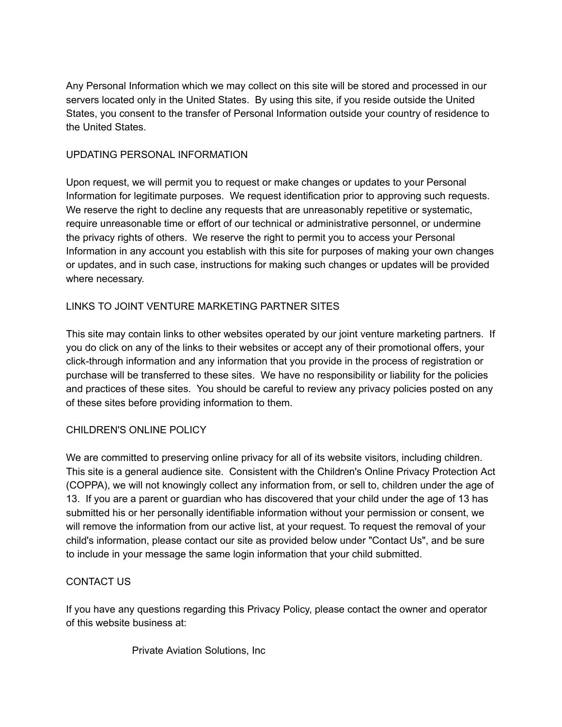Any Personal Information which we may collect on this site will be stored and processed in our servers located only in the United States. By using this site, if you reside outside the United States, you consent to the transfer of Personal Information outside your country of residence to the United States.

# UPDATING PERSONAL INFORMATION

Upon request, we will permit you to request or make changes or updates to your Personal Information for legitimate purposes. We request identification prior to approving such requests. We reserve the right to decline any requests that are unreasonably repetitive or systematic, require unreasonable time or effort of our technical or administrative personnel, or undermine the privacy rights of others. We reserve the right to permit you to access your Personal Information in any account you establish with this site for purposes of making your own changes or updates, and in such case, instructions for making such changes or updates will be provided where necessary.

# LINKS TO JOINT VENTURE MARKETING PARTNER SITES

This site may contain links to other websites operated by our joint venture marketing partners. If you do click on any of the links to their websites or accept any of their promotional offers, your click-through information and any information that you provide in the process of registration or purchase will be transferred to these sites. We have no responsibility or liability for the policies and practices of these sites. You should be careful to review any privacy policies posted on any of these sites before providing information to them.

### CHILDREN'S ONLINE POLICY

We are committed to preserving online privacy for all of its website visitors, including children. This site is a general audience site. Consistent with the Children's Online Privacy Protection Act (COPPA), we will not knowingly collect any information from, or sell to, children under the age of 13. If you are a parent or guardian who has discovered that your child under the age of 13 has submitted his or her personally identifiable information without your permission or consent, we will remove the information from our active list, at your request. To request the removal of your child's information, please contact our site as provided below under "Contact Us", and be sure to include in your message the same login information that your child submitted.

### CONTACT US

If you have any questions regarding this Privacy Policy, please contact the owner and operator of this website business at:

Private Aviation Solutions, Inc